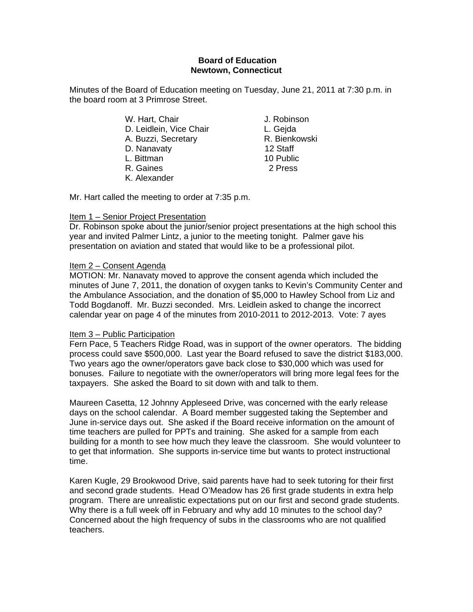## **Board of Education Newtown, Connecticut**

Minutes of the Board of Education meeting on Tuesday, June 21, 2011 at 7:30 p.m. in the board room at 3 Primrose Street.

- W. Hart, Chair **J. Robinson** D. Leidlein, Vice Chair **L. Geida** A. Buzzi, Secretary **R. Bienkowski** D. Nanavaty 12 Staff L. Bittman 10 Public R. Gaines 2 Press K. Alexander
- 

Mr. Hart called the meeting to order at 7:35 p.m.

# Item 1 – Senior Project Presentation

Dr. Robinson spoke about the junior/senior project presentations at the high school this year and invited Palmer Lintz, a junior to the meeting tonight. Palmer gave his presentation on aviation and stated that would like to be a professional pilot.

# Item 2 – Consent Agenda

MOTION: Mr. Nanavaty moved to approve the consent agenda which included the minutes of June 7, 2011, the donation of oxygen tanks to Kevin's Community Center and the Ambulance Association, and the donation of \$5,000 to Hawley School from Liz and Todd Bogdanoff. Mr. Buzzi seconded. Mrs. Leidlein asked to change the incorrect calendar year on page 4 of the minutes from 2010-2011 to 2012-2013. Vote: 7 ayes

# Item 3 – Public Participation

Fern Pace, 5 Teachers Ridge Road, was in support of the owner operators. The bidding process could save \$500,000. Last year the Board refused to save the district \$183,000. Two years ago the owner/operators gave back close to \$30,000 which was used for bonuses. Failure to negotiate with the owner/operators will bring more legal fees for the taxpayers. She asked the Board to sit down with and talk to them.

Maureen Casetta, 12 Johnny Appleseed Drive, was concerned with the early release days on the school calendar. A Board member suggested taking the September and June in-service days out. She asked if the Board receive information on the amount of time teachers are pulled for PPTs and training. She asked for a sample from each building for a month to see how much they leave the classroom. She would volunteer to to get that information. She supports in-service time but wants to protect instructional time.

Karen Kugle, 29 Brookwood Drive, said parents have had to seek tutoring for their first and second grade students. Head O'Meadow has 26 first grade students in extra help program. There are unrealistic expectations put on our first and second grade students. Why there is a full week off in February and why add 10 minutes to the school day? Concerned about the high frequency of subs in the classrooms who are not qualified teachers.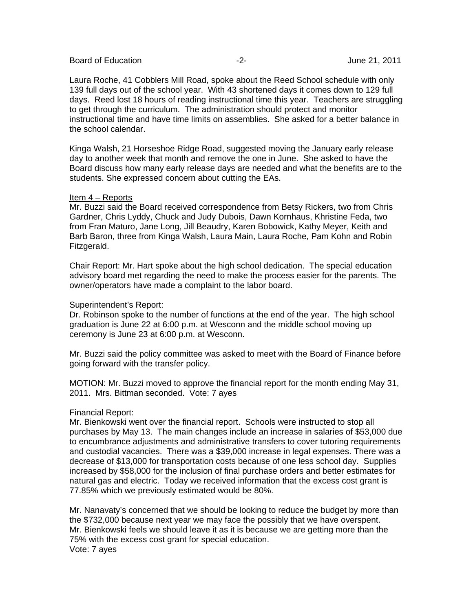| <b>Board of Education</b> |  |
|---------------------------|--|
|---------------------------|--|

Laura Roche, 41 Cobblers Mill Road, spoke about the Reed School schedule with only 139 full days out of the school year. With 43 shortened days it comes down to 129 full days. Reed lost 18 hours of reading instructional time this year. Teachers are struggling to get through the curriculum. The administration should protect and monitor instructional time and have time limits on assemblies. She asked for a better balance in the school calendar.

Kinga Walsh, 21 Horseshoe Ridge Road, suggested moving the January early release day to another week that month and remove the one in June. She asked to have the Board discuss how many early release days are needed and what the benefits are to the students. She expressed concern about cutting the EAs.

## Item 4 – Reports

Mr. Buzzi said the Board received correspondence from Betsy Rickers, two from Chris Gardner, Chris Lyddy, Chuck and Judy Dubois, Dawn Kornhaus, Khristine Feda, two from Fran Maturo, Jane Long, Jill Beaudry, Karen Bobowick, Kathy Meyer, Keith and Barb Baron, three from Kinga Walsh, Laura Main, Laura Roche, Pam Kohn and Robin Fitzgerald.

Chair Report: Mr. Hart spoke about the high school dedication. The special education advisory board met regarding the need to make the process easier for the parents. The owner/operators have made a complaint to the labor board.

#### Superintendent's Report:

Dr. Robinson spoke to the number of functions at the end of the year. The high school graduation is June 22 at 6:00 p.m. at Wesconn and the middle school moving up ceremony is June 23 at 6:00 p.m. at Wesconn.

Mr. Buzzi said the policy committee was asked to meet with the Board of Finance before going forward with the transfer policy.

MOTION: Mr. Buzzi moved to approve the financial report for the month ending May 31, 2011. Mrs. Bittman seconded. Vote: 7 ayes

## Financial Report:

Mr. Bienkowski went over the financial report. Schools were instructed to stop all purchases by May 13. The main changes include an increase in salaries of \$53,000 due to encumbrance adjustments and administrative transfers to cover tutoring requirements and custodial vacancies. There was a \$39,000 increase in legal expenses. There was a decrease of \$13,000 for transportation costs because of one less school day. Supplies increased by \$58,000 for the inclusion of final purchase orders and better estimates for natural gas and electric. Today we received information that the excess cost grant is 77.85% which we previously estimated would be 80%.

Mr. Nanavaty's concerned that we should be looking to reduce the budget by more than the \$732,000 because next year we may face the possibly that we have overspent. Mr. Bienkowski feels we should leave it as it is because we are getting more than the 75% with the excess cost grant for special education. Vote: 7 ayes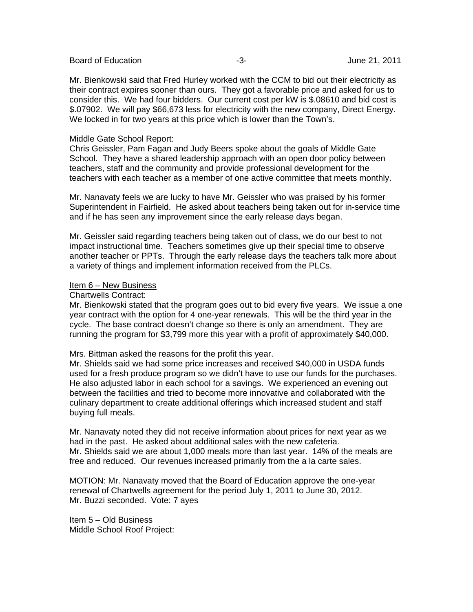Board of Education  $-3$ - 3- June 21, 2011

Mr. Bienkowski said that Fred Hurley worked with the CCM to bid out their electricity as their contract expires sooner than ours. They got a favorable price and asked for us to consider this. We had four bidders. Our current cost per kW is \$.08610 and bid cost is \$.07902. We will pay \$66,673 less for electricity with the new company, Direct Energy. We locked in for two years at this price which is lower than the Town's.

## Middle Gate School Report:

Chris Geissler, Pam Fagan and Judy Beers spoke about the goals of Middle Gate School. They have a shared leadership approach with an open door policy between teachers, staff and the community and provide professional development for the teachers with each teacher as a member of one active committee that meets monthly.

Mr. Nanavaty feels we are lucky to have Mr. Geissler who was praised by his former Superintendent in Fairfield. He asked about teachers being taken out for in-service time and if he has seen any improvement since the early release days began.

Mr. Geissler said regarding teachers being taken out of class, we do our best to not impact instructional time. Teachers sometimes give up their special time to observe another teacher or PPTs. Through the early release days the teachers talk more about a variety of things and implement information received from the PLCs.

## Item 6 – New Business

## Chartwells Contract:

Mr. Bienkowski stated that the program goes out to bid every five years. We issue a one year contract with the option for 4 one-year renewals. This will be the third year in the cycle. The base contract doesn't change so there is only an amendment. They are running the program for \$3,799 more this year with a profit of approximately \$40,000.

Mrs. Bittman asked the reasons for the profit this year.

Mr. Shields said we had some price increases and received \$40,000 in USDA funds used for a fresh produce program so we didn't have to use our funds for the purchases. He also adjusted labor in each school for a savings. We experienced an evening out between the facilities and tried to become more innovative and collaborated with the culinary department to create additional offerings which increased student and staff buying full meals.

Mr. Nanavaty noted they did not receive information about prices for next year as we had in the past. He asked about additional sales with the new cafeteria. Mr. Shields said we are about 1,000 meals more than last year. 14% of the meals are free and reduced. Our revenues increased primarily from the a la carte sales.

MOTION: Mr. Nanavaty moved that the Board of Education approve the one-year renewal of Chartwells agreement for the period July 1, 2011 to June 30, 2012. Mr. Buzzi seconded. Vote: 7 ayes

Item 5 – Old Business Middle School Roof Project: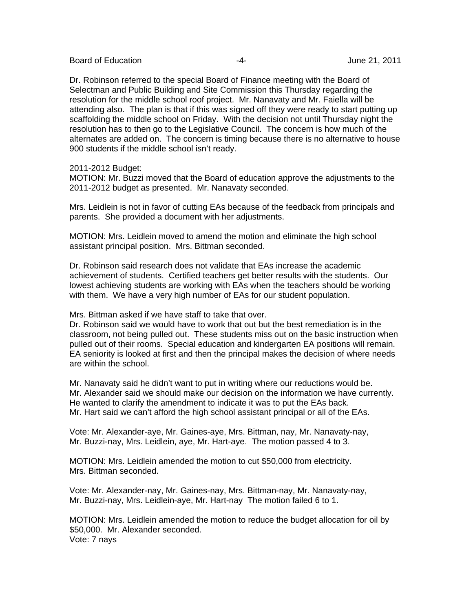Board of Education  $\overline{a}$  -4- Figure 21, 2011

Dr. Robinson referred to the special Board of Finance meeting with the Board of Selectman and Public Building and Site Commission this Thursday regarding the resolution for the middle school roof project. Mr. Nanavaty and Mr. Faiella will be attending also. The plan is that if this was signed off they were ready to start putting up scaffolding the middle school on Friday. With the decision not until Thursday night the resolution has to then go to the Legislative Council. The concern is how much of the alternates are added on. The concern is timing because there is no alternative to house 900 students if the middle school isn't ready.

2011-2012 Budget:

MOTION: Mr. Buzzi moved that the Board of education approve the adjustments to the 2011-2012 budget as presented. Mr. Nanavaty seconded.

Mrs. Leidlein is not in favor of cutting EAs because of the feedback from principals and parents. She provided a document with her adjustments.

MOTION: Mrs. Leidlein moved to amend the motion and eliminate the high school assistant principal position. Mrs. Bittman seconded.

Dr. Robinson said research does not validate that EAs increase the academic achievement of students. Certified teachers get better results with the students. Our lowest achieving students are working with EAs when the teachers should be working with them. We have a very high number of EAs for our student population.

Mrs. Bittman asked if we have staff to take that over.

Dr. Robinson said we would have to work that out but the best remediation is in the classroom, not being pulled out. These students miss out on the basic instruction when pulled out of their rooms. Special education and kindergarten EA positions will remain. EA seniority is looked at first and then the principal makes the decision of where needs are within the school.

Mr. Nanavaty said he didn't want to put in writing where our reductions would be. Mr. Alexander said we should make our decision on the information we have currently. He wanted to clarify the amendment to indicate it was to put the EAs back. Mr. Hart said we can't afford the high school assistant principal or all of the EAs.

Vote: Mr. Alexander-aye, Mr. Gaines-aye, Mrs. Bittman, nay, Mr. Nanavaty-nay, Mr. Buzzi-nay, Mrs. Leidlein, aye, Mr. Hart-aye. The motion passed 4 to 3.

MOTION: Mrs. Leidlein amended the motion to cut \$50,000 from electricity. Mrs. Bittman seconded.

Vote: Mr. Alexander-nay, Mr. Gaines-nay, Mrs. Bittman-nay, Mr. Nanavaty-nay, Mr. Buzzi-nay, Mrs. Leidlein-aye, Mr. Hart-nay The motion failed 6 to 1.

MOTION: Mrs. Leidlein amended the motion to reduce the budget allocation for oil by \$50,000. Mr. Alexander seconded. Vote: 7 nays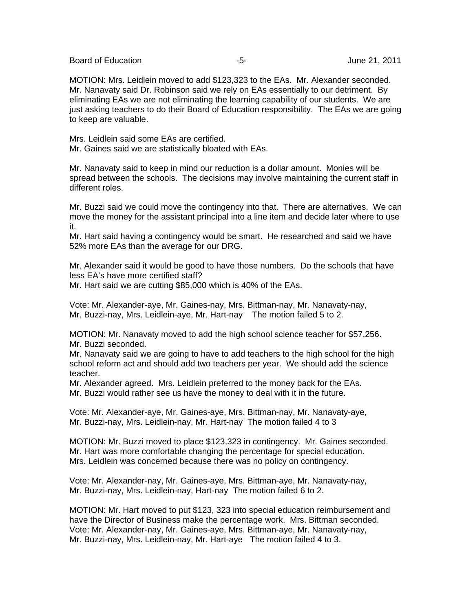Board of Education  $-5 -5-$  June 21, 2011

MOTION: Mrs. Leidlein moved to add \$123,323 to the EAs. Mr. Alexander seconded. Mr. Nanavaty said Dr. Robinson said we rely on EAs essentially to our detriment. By eliminating EAs we are not eliminating the learning capability of our students. We are just asking teachers to do their Board of Education responsibility. The EAs we are going to keep are valuable.

Mrs. Leidlein said some EAs are certified. Mr. Gaines said we are statistically bloated with EAs.

Mr. Nanavaty said to keep in mind our reduction is a dollar amount. Monies will be spread between the schools. The decisions may involve maintaining the current staff in different roles.

Mr. Buzzi said we could move the contingency into that. There are alternatives. We can move the money for the assistant principal into a line item and decide later where to use it.

Mr. Hart said having a contingency would be smart. He researched and said we have 52% more EAs than the average for our DRG.

Mr. Alexander said it would be good to have those numbers. Do the schools that have less EA's have more certified staff?

Mr. Hart said we are cutting \$85,000 which is 40% of the EAs.

Vote: Mr. Alexander-aye, Mr. Gaines-nay, Mrs. Bittman-nay, Mr. Nanavaty-nay, Mr. Buzzi-nay, Mrs. Leidlein-aye, Mr. Hart-nay The motion failed 5 to 2.

MOTION: Mr. Nanavaty moved to add the high school science teacher for \$57,256. Mr. Buzzi seconded.

Mr. Nanavaty said we are going to have to add teachers to the high school for the high school reform act and should add two teachers per year. We should add the science teacher.

Mr. Alexander agreed. Mrs. Leidlein preferred to the money back for the EAs. Mr. Buzzi would rather see us have the money to deal with it in the future.

Vote: Mr. Alexander-aye, Mr. Gaines-aye, Mrs. Bittman-nay, Mr. Nanavaty-aye, Mr. Buzzi-nay, Mrs. Leidlein-nay, Mr. Hart-nay The motion failed 4 to 3

MOTION: Mr. Buzzi moved to place \$123,323 in contingency. Mr. Gaines seconded. Mr. Hart was more comfortable changing the percentage for special education. Mrs. Leidlein was concerned because there was no policy on contingency.

Vote: Mr. Alexander-nay, Mr. Gaines-aye, Mrs. Bittman-aye, Mr. Nanavaty-nay, Mr. Buzzi-nay, Mrs. Leidlein-nay, Hart-nay The motion failed 6 to 2.

MOTION: Mr. Hart moved to put \$123, 323 into special education reimbursement and have the Director of Business make the percentage work. Mrs. Bittman seconded. Vote: Mr. Alexander-nay, Mr. Gaines-aye, Mrs. Bittman-aye, Mr. Nanavaty-nay, Mr. Buzzi-nay, Mrs. Leidlein-nay, Mr. Hart-aye The motion failed 4 to 3.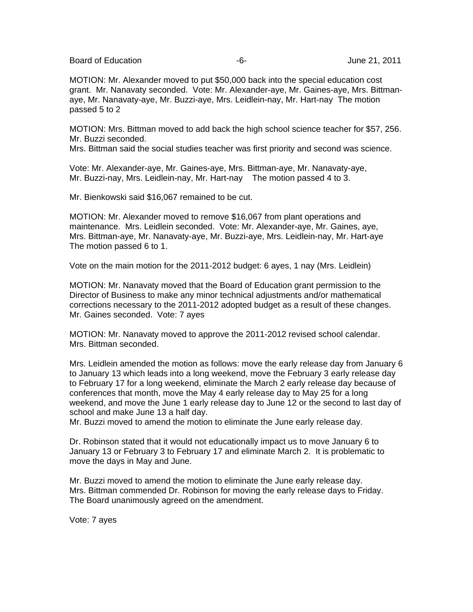Board of Education  $-6 -6-$  June 21, 2011

MOTION: Mr. Alexander moved to put \$50,000 back into the special education cost grant. Mr. Nanavaty seconded. Vote: Mr. Alexander-aye, Mr. Gaines-aye, Mrs. Bittmanaye, Mr. Nanavaty-aye, Mr. Buzzi-aye, Mrs. Leidlein-nay, Mr. Hart-nay The motion passed 5 to 2

MOTION: Mrs. Bittman moved to add back the high school science teacher for \$57, 256. Mr. Buzzi seconded.

Mrs. Bittman said the social studies teacher was first priority and second was science.

Vote: Mr. Alexander-aye, Mr. Gaines-aye, Mrs. Bittman-aye, Mr. Nanavaty-aye, Mr. Buzzi-nay, Mrs. Leidlein-nay, Mr. Hart-nay The motion passed 4 to 3.

Mr. Bienkowski said \$16,067 remained to be cut.

MOTION: Mr. Alexander moved to remove \$16,067 from plant operations and maintenance. Mrs. Leidlein seconded. Vote: Mr. Alexander-aye, Mr. Gaines, aye, Mrs. Bittman-aye, Mr. Nanavaty-aye, Mr. Buzzi-aye, Mrs. Leidlein-nay, Mr. Hart-aye The motion passed 6 to 1.

Vote on the main motion for the 2011-2012 budget: 6 ayes, 1 nay (Mrs. Leidlein)

MOTION: Mr. Nanavaty moved that the Board of Education grant permission to the Director of Business to make any minor technical adjustments and/or mathematical corrections necessary to the 2011-2012 adopted budget as a result of these changes. Mr. Gaines seconded. Vote: 7 ayes

MOTION: Mr. Nanavaty moved to approve the 2011-2012 revised school calendar. Mrs. Bittman seconded.

Mrs. Leidlein amended the motion as follows: move the early release day from January 6 to January 13 which leads into a long weekend, move the February 3 early release day to February 17 for a long weekend, eliminate the March 2 early release day because of conferences that month, move the May 4 early release day to May 25 for a long weekend, and move the June 1 early release day to June 12 or the second to last day of school and make June 13 a half day.

Mr. Buzzi moved to amend the motion to eliminate the June early release day.

Dr. Robinson stated that it would not educationally impact us to move January 6 to January 13 or February 3 to February 17 and eliminate March 2. It is problematic to move the days in May and June.

Mr. Buzzi moved to amend the motion to eliminate the June early release day. Mrs. Bittman commended Dr. Robinson for moving the early release days to Friday. The Board unanimously agreed on the amendment.

Vote: 7 ayes